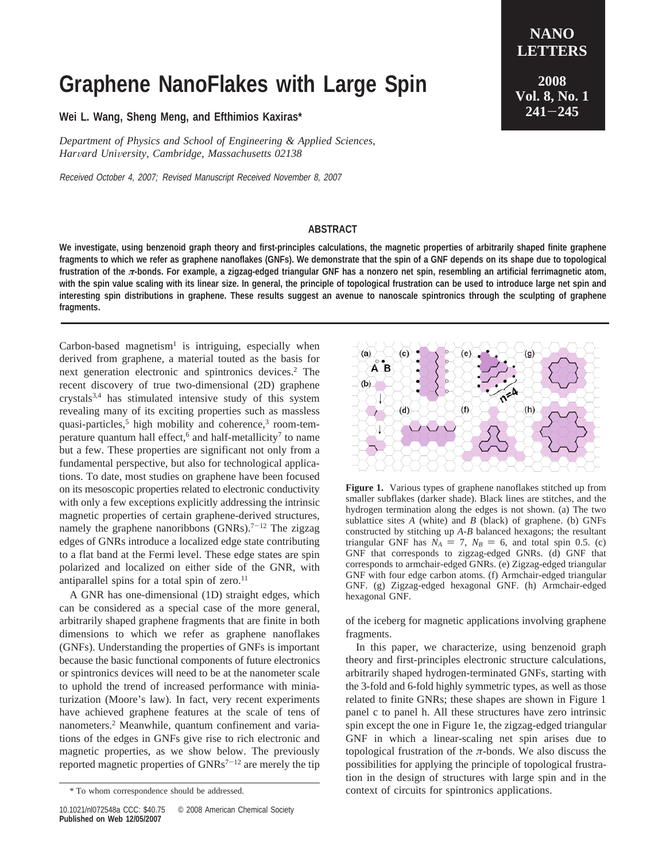## **Graphene NanoFlakes with Large Spin**

**Wei L. Wang, Sheng Meng, and Efthimios Kaxiras\***

*Department of Physics and School of Engineering & Applied Sciences, Har*V*ard Uni*V*ersity, Cambridge, Massachusetts 02138*

Received October 4, 2007; Revised Manuscript Received November 8, 2007

## **NANO LETTERS 2008 Vol. 8, No. 1 <sup>241</sup>**-**<sup>245</sup>**

## **ABSTRACT**

**We investigate, using benzenoid graph theory and first-principles calculations, the magnetic properties of arbitrarily shaped finite graphene fragments to which we refer as graphene nanoflakes (GNFs). We demonstrate that the spin of a GNF depends on its shape due to topological frustration of the** *π***-bonds. For example, a zigzag-edged triangular GNF has a nonzero net spin, resembling an artificial ferrimagnetic atom, with the spin value scaling with its linear size. In general, the principle of topological frustration can be used to introduce large net spin and interesting spin distributions in graphene. These results suggest an avenue to nanoscale spintronics through the sculpting of graphene fragments.**

Carbon-based magnetism<sup>1</sup> is intriguing, especially when derived from graphene, a material touted as the basis for next generation electronic and spintronics devices.2 The recent discovery of true two-dimensional (2D) graphene crystals3,4 has stimulated intensive study of this system revealing many of its exciting properties such as massless quasi-particles, $5$  high mobility and coherence, $3$  room-temperature quantum hall effect,<sup>6</sup> and half-metallicity<sup>7</sup> to name but a few. These properties are significant not only from a fundamental perspective, but also for technological applications. To date, most studies on graphene have been focused on its mesoscopic properties related to electronic conductivity with only a few exceptions explicitly addressing the intrinsic magnetic properties of certain graphene-derived structures, namely the graphene nanoribbons  $(GNRs)$ .<sup>7-12</sup> The zigzag edges of GNRs introduce a localized edge state contributing to a flat band at the Fermi level. These edge states are spin polarized and localized on either side of the GNR, with antiparallel spins for a total spin of zero.<sup>11</sup>

A GNR has one-dimensional (1D) straight edges, which can be considered as a special case of the more general, arbitrarily shaped graphene fragments that are finite in both dimensions to which we refer as graphene nanoflakes (GNFs). Understanding the properties of GNFs is important because the basic functional components of future electronics or spintronics devices will need to be at the nanometer scale to uphold the trend of increased performance with miniaturization (Moore's law). In fact, very recent experiments have achieved graphene features at the scale of tens of nanometers.2 Meanwhile, quantum confinement and variations of the edges in GNFs give rise to rich electronic and magnetic properties, as we show below. The previously reported magnetic properties of  $GNRs^{7-12}$  are merely the tip



**Figure 1.** Various types of graphene nanoflakes stitched up from smaller subflakes (darker shade). Black lines are stitches, and the hydrogen termination along the edges is not shown. (a) The two sublattice sites *A* (white) and *B* (black) of graphene. (b) GNFs constructed by stitching up *A*-*B* balanced hexagons; the resultant triangular GNF has  $N_A = 7$ ,  $N_B = 6$ , and total spin 0.5. (c) GNF that corresponds to zigzag-edged GNRs. (d) GNF that corresponds to armchair-edged GNRs. (e) Zigzag-edged triangular GNF with four edge carbon atoms. (f) Armchair-edged triangular GNF. (g) Zigzag-edged hexagonal GNF. (h) Armchair-edged hexagonal GNF.

of the iceberg for magnetic applications involving graphene fragments.

In this paper, we characterize, using benzenoid graph theory and first-principles electronic structure calculations, arbitrarily shaped hydrogen-terminated GNFs, starting with the 3-fold and 6-fold highly symmetric types, as well as those related to finite GNRs; these shapes are shown in Figure 1 panel c to panel h. All these structures have zero intrinsic spin except the one in Figure 1e, the zigzag-edged triangular GNF in which a linear-scaling net spin arises due to topological frustration of the *π*-bonds. We also discuss the possibilities for applying the principle of topological frustration in the design of structures with large spin and in the \* To whom correspondence should be addressed. context of circuits for spintronics applications.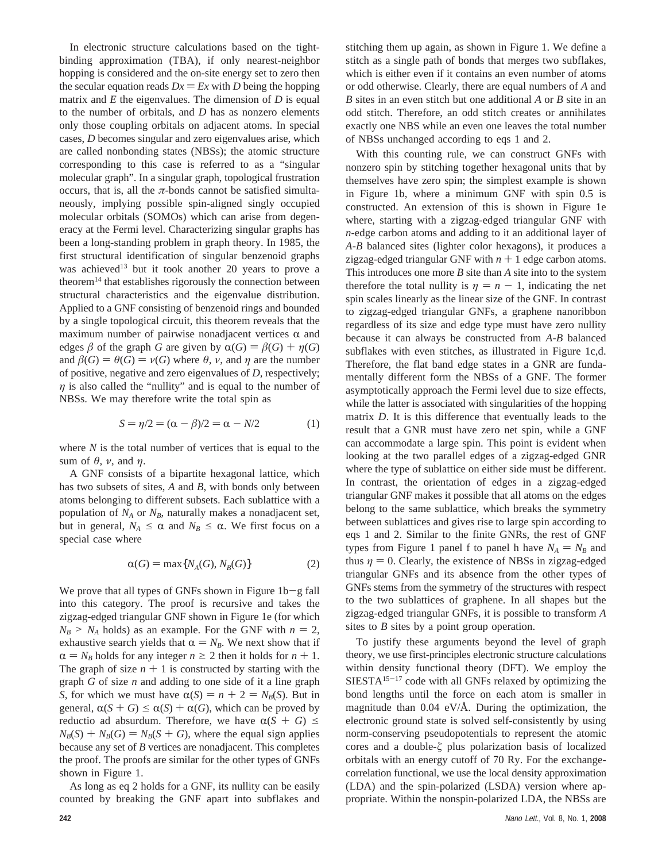In electronic structure calculations based on the tightbinding approximation (TBA), if only nearest-neighbor hopping is considered and the on-site energy set to zero then the secular equation reads  $Dx = Ex$  with *D* being the hopping matrix and *E* the eigenvalues. The dimension of *D* is equal to the number of orbitals, and *D* has as nonzero elements only those coupling orbitals on adjacent atoms. In special cases, *D* becomes singular and zero eigenvalues arise, which are called nonbonding states (NBSs); the atomic structure corresponding to this case is referred to as a "singular molecular graph". In a singular graph, topological frustration occurs, that is, all the  $\pi$ -bonds cannot be satisfied simultaneously, implying possible spin-aligned singly occupied molecular orbitals (SOMOs) which can arise from degeneracy at the Fermi level. Characterizing singular graphs has been a long-standing problem in graph theory. In 1985, the first structural identification of singular benzenoid graphs was achieved<sup>13</sup> but it took another 20 years to prove a theorem $14$  that establishes rigorously the connection between structural characteristics and the eigenvalue distribution. Applied to a GNF consisting of benzenoid rings and bounded by a single topological circuit, this theorem reveals that the maximum number of pairwise nonadjacent vertices  $\alpha$  and edges  $\beta$  of the graph *G* are given by  $\alpha(G) = \beta(G) + \eta(G)$ and  $\beta(G) = \theta(G) = \nu(G)$  where  $\theta$ ,  $\nu$ , and  $\eta$  are the number of positive, negative and zero eigenvalues of *D,* respectively; *η* is also called the "nullity" and is equal to the number of NBSs. We may therefore write the total spin as

$$
S = \eta/2 = (\alpha - \beta)/2 = \alpha - N/2
$$
 (1)

where *N* is the total number of vertices that is equal to the sum of *θ*, *ν*, and *η*.

A GNF consists of a bipartite hexagonal lattice, which has two subsets of sites, *A* and *B*, with bonds only between atoms belonging to different subsets. Each sublattice with a population of  $N_A$  or  $N_B$ , naturally makes a nonadjacent set, but in general,  $N_A \leq \alpha$  and  $N_B \leq \alpha$ . We first focus on a special case where

$$
\alpha(G) = \max\{N_A(G), N_B(G)\}\tag{2}
$$

We prove that all types of GNFs shown in Figure  $1b-g$  fall into this category. The proof is recursive and takes the zigzag-edged triangular GNF shown in Figure 1e (for which  $N_B > N_A$  holds) as an example. For the GNF with  $n = 2$ , exhaustive search yields that  $\alpha = N_B$ . We next show that if  $\alpha = N_B$  holds for any integer  $n \geq 2$  then it holds for  $n + 1$ . The graph of size  $n + 1$  is constructed by starting with the graph *G* of size *n* and adding to one side of it a line graph *S*, for which we must have  $\alpha(S) = n + 2 = N_B(S)$ . But in general,  $\alpha(S + G) \leq \alpha(S) + \alpha(G)$ , which can be proved by reductio ad absurdum. Therefore, we have  $\alpha(S + G) \leq$  $N_B(S) + N_B(G) = N_B(S + G)$ , where the equal sign applies because any set of *B* vertices are nonadjacent. This completes the proof. The proofs are similar for the other types of GNFs shown in Figure 1.

As long as eq 2 holds for a GNF, its nullity can be easily counted by breaking the GNF apart into subflakes and stitching them up again, as shown in Figure 1. We define a stitch as a single path of bonds that merges two subflakes, which is either even if it contains an even number of atoms or odd otherwise. Clearly, there are equal numbers of *A* and *B* sites in an even stitch but one additional *A* or *B* site in an odd stitch. Therefore, an odd stitch creates or annihilates exactly one NBS while an even one leaves the total number of NBSs unchanged according to eqs 1 and 2.

With this counting rule, we can construct GNFs with nonzero spin by stitching together hexagonal units that by themselves have zero spin; the simplest example is shown in Figure 1b, where a minimum GNF with spin 0.5 is constructed. An extension of this is shown in Figure 1e where, starting with a zigzag-edged triangular GNF with *n*-edge carbon atoms and adding to it an additional layer of *A*-*B* balanced sites (lighter color hexagons), it produces a zigzag-edged triangular GNF with  $n + 1$  edge carbon atoms. This introduces one more *B* site than *A* site into to the system therefore the total nullity is  $\eta = n - 1$ , indicating the net spin scales linearly as the linear size of the GNF. In contrast to zigzag-edged triangular GNFs, a graphene nanoribbon regardless of its size and edge type must have zero nullity because it can always be constructed from *A*-*B* balanced subflakes with even stitches, as illustrated in Figure 1c,d. Therefore, the flat band edge states in a GNR are fundamentally different form the NBSs of a GNF. The former asymptotically approach the Fermi level due to size effects, while the latter is associated with singularities of the hopping matrix *D*. It is this difference that eventually leads to the result that a GNR must have zero net spin, while a GNF can accommodate a large spin. This point is evident when looking at the two parallel edges of a zigzag-edged GNR where the type of sublattice on either side must be different. In contrast, the orientation of edges in a zigzag-edged triangular GNF makes it possible that all atoms on the edges belong to the same sublattice, which breaks the symmetry between sublattices and gives rise to large spin according to eqs 1 and 2. Similar to the finite GNRs, the rest of GNF types from Figure 1 panel f to panel h have  $N_A = N_B$  and thus  $\eta = 0$ . Clearly, the existence of NBSs in zigzag-edged triangular GNFs and its absence from the other types of GNFs stems from the symmetry of the structures with respect to the two sublattices of graphene. In all shapes but the zigzag-edged triangular GNFs, it is possible to transform *A* sites to *B* sites by a point group operation.

To justify these arguments beyond the level of graph theory, we use first-principles electronic structure calculations within density functional theory (DFT). We employ the  $SIESTA<sup>15-17</sup>$  code with all GNFs relaxed by optimizing the bond lengths until the force on each atom is smaller in magnitude than  $0.04$  eV/ $\AA$ . During the optimization, the electronic ground state is solved self-consistently by using norm-conserving pseudopotentials to represent the atomic cores and a double-*ú* plus polarization basis of localized orbitals with an energy cutoff of 70 Ry. For the exchangecorrelation functional, we use the local density approximation (LDA) and the spin-polarized (LSDA) version where appropriate. Within the nonspin-polarized LDA, the NBSs are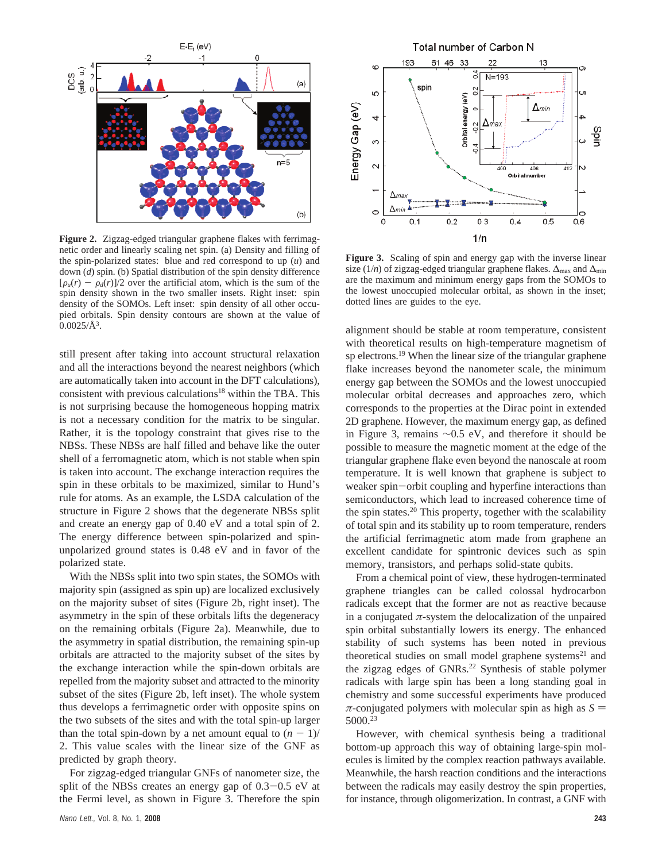

**Figure 2.** Zigzag-edged triangular graphene flakes with ferrimagnetic order and linearly scaling net spin. (a) Density and filling of the spin-polarized states: blue and red correspond to up (*u*) and down (*d*) spin. (b) Spatial distribution of the spin density difference  $[\rho_u(r) - \rho_d(r)]/2$  over the artificial atom, which is the sum of the spin density shown in the two smaller insets. Right inset: spin density of the SOMOs. Left inset: spin density of all other occupied orbitals. Spin density contours are shown at the value of  $0.0025/\AA$ <sup>3</sup>.

still present after taking into account structural relaxation and all the interactions beyond the nearest neighbors (which are automatically taken into account in the DFT calculations), consistent with previous calculations<sup>18</sup> within the TBA. This is not surprising because the homogeneous hopping matrix is not a necessary condition for the matrix to be singular. Rather, it is the topology constraint that gives rise to the NBSs. These NBSs are half filled and behave like the outer shell of a ferromagnetic atom, which is not stable when spin is taken into account. The exchange interaction requires the spin in these orbitals to be maximized, similar to Hund's rule for atoms. As an example, the LSDA calculation of the structure in Figure 2 shows that the degenerate NBSs split and create an energy gap of 0.40 eV and a total spin of 2. The energy difference between spin-polarized and spinunpolarized ground states is 0.48 eV and in favor of the polarized state.

With the NBSs split into two spin states, the SOMOs with majority spin (assigned as spin up) are localized exclusively on the majority subset of sites (Figure 2b, right inset). The asymmetry in the spin of these orbitals lifts the degeneracy on the remaining orbitals (Figure 2a). Meanwhile, due to the asymmetry in spatial distribution, the remaining spin-up orbitals are attracted to the majority subset of the sites by the exchange interaction while the spin-down orbitals are repelled from the majority subset and attracted to the minority subset of the sites (Figure 2b, left inset). The whole system thus develops a ferrimagnetic order with opposite spins on the two subsets of the sites and with the total spin-up larger than the total spin-down by a net amount equal to  $(n - 1)$ 2. This value scales with the linear size of the GNF as predicted by graph theory.

For zigzag-edged triangular GNFs of nanometer size, the split of the NBSs creates an energy gap of  $0.3-0.5$  eV at the Fermi level, as shown in Figure 3. Therefore the spin



**Figure 3.** Scaling of spin and energy gap with the inverse linear size (1/*n*) of zigzag-edged triangular graphene flakes.  $\Delta_{\text{max}}$  and  $\Delta_{\text{min}}$ are the maximum and minimum energy gaps from the SOMOs to the lowest unoccupied molecular orbital, as shown in the inset; dotted lines are guides to the eye.

alignment should be stable at room temperature, consistent with theoretical results on high-temperature magnetism of sp electrons.<sup>19</sup> When the linear size of the triangular graphene flake increases beyond the nanometer scale, the minimum energy gap between the SOMOs and the lowest unoccupied molecular orbital decreases and approaches zero, which corresponds to the properties at the Dirac point in extended 2D graphene. However, the maximum energy gap, as defined in Figure 3, remains ∼0.5 eV, and therefore it should be possible to measure the magnetic moment at the edge of the triangular graphene flake even beyond the nanoscale at room temperature. It is well known that graphene is subject to weaker spin-orbit coupling and hyperfine interactions than semiconductors, which lead to increased coherence time of the spin states.<sup>20</sup> This property, together with the scalability of total spin and its stability up to room temperature, renders the artificial ferrimagnetic atom made from graphene an excellent candidate for spintronic devices such as spin memory, transistors, and perhaps solid-state qubits.

From a chemical point of view, these hydrogen-terminated graphene triangles can be called colossal hydrocarbon radicals except that the former are not as reactive because in a conjugated  $\pi$ -system the delocalization of the unpaired spin orbital substantially lowers its energy. The enhanced stability of such systems has been noted in previous theoretical studies on small model graphene systems<sup>21</sup> and the zigzag edges of GNRs.<sup>22</sup> Synthesis of stable polymer radicals with large spin has been a long standing goal in chemistry and some successful experiments have produced  $\pi$ -conjugated polymers with molecular spin as high as  $S =$ 5000.23

However, with chemical synthesis being a traditional bottom-up approach this way of obtaining large-spin molecules is limited by the complex reaction pathways available. Meanwhile, the harsh reaction conditions and the interactions between the radicals may easily destroy the spin properties, for instance, through oligomerization. In contrast, a GNF with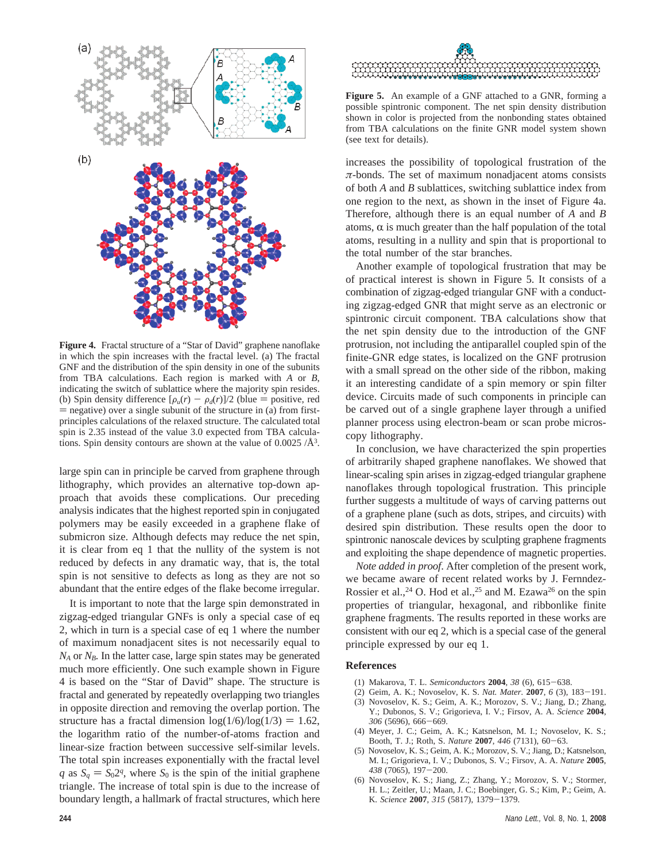

**Figure 4.** Fractal structure of a "Star of David" graphene nanoflake in which the spin increases with the fractal level. (a) The fractal GNF and the distribution of the spin density in one of the subunits from TBA calculations. Each region is marked with *A* or *B*, indicating the switch of sublattice where the majority spin resides. (b) Spin density difference  $[\rho_u(r) - \rho_d(r)]/2$  (blue = positive, red  $=$  negative) over a single subunit of the structure in (a) from firstprinciples calculations of the relaxed structure. The calculated total spin is 2.35 instead of the value 3.0 expected from TBA calculations. Spin density contours are shown at the value of  $0.0025/\text{\AA}^3$ .

large spin can in principle be carved from graphene through lithography, which provides an alternative top-down approach that avoids these complications. Our preceding analysis indicates that the highest reported spin in conjugated polymers may be easily exceeded in a graphene flake of submicron size. Although defects may reduce the net spin, it is clear from eq 1 that the nullity of the system is not reduced by defects in any dramatic way, that is, the total spin is not sensitive to defects as long as they are not so abundant that the entire edges of the flake become irregular.

It is important to note that the large spin demonstrated in zigzag-edged triangular GNFs is only a special case of eq 2, which in turn is a special case of eq 1 where the number of maximum nonadjacent sites is not necessarily equal to  $N_A$  or  $N_B$ . In the latter case, large spin states may be generated much more efficiently. One such example shown in Figure 4 is based on the "Star of David" shape. The structure is fractal and generated by repeatedly overlapping two triangles in opposite direction and removing the overlap portion. The structure has a fractal dimension  $log(1/6)/log(1/3) = 1.62$ , the logarithm ratio of the number-of-atoms fraction and linear-size fraction between successive self-similar levels. The total spin increases exponentially with the fractal level *q* as  $S_a = S_0 2^q$ , where  $S_0$  is the spin of the initial graphene triangle. The increase of total spin is due to the increase of boundary length, a hallmark of fractal structures, which here



**Figure 5.** An example of a GNF attached to a GNR, forming a possible spintronic component. The net spin density distribution shown in color is projected from the nonbonding states obtained from TBA calculations on the finite GNR model system shown (see text for details).

increases the possibility of topological frustration of the *π-*bonds. The set of maximum nonadjacent atoms consists of both *A* and *B* sublattices, switching sublattice index from one region to the next, as shown in the inset of Figure 4a. Therefore, although there is an equal number of *A* and *B* atoms,  $\alpha$  is much greater than the half population of the total atoms, resulting in a nullity and spin that is proportional to the total number of the star branches.

Another example of topological frustration that may be of practical interest is shown in Figure 5. It consists of a combination of zigzag-edged triangular GNF with a conducting zigzag-edged GNR that might serve as an electronic or spintronic circuit component. TBA calculations show that the net spin density due to the introduction of the GNF protrusion, not including the antiparallel coupled spin of the finite-GNR edge states, is localized on the GNF protrusion with a small spread on the other side of the ribbon, making it an interesting candidate of a spin memory or spin filter device. Circuits made of such components in principle can be carved out of a single graphene layer through a unified planner process using electron-beam or scan probe microscopy lithography.

In conclusion, we have characterized the spin properties of arbitrarily shaped graphene nanoflakes. We showed that linear-scaling spin arises in zigzag-edged triangular graphene nanoflakes through topological frustration. This principle further suggests a multitude of ways of carving patterns out of a graphene plane (such as dots, stripes, and circuits) with desired spin distribution. These results open the door to spintronic nanoscale devices by sculpting graphene fragments and exploiting the shape dependence of magnetic properties.

*Note added in proof*. After completion of the present work, we became aware of recent related works by J. Fernndez-Rossier et al.,<sup>24</sup> O. Hod et al.,<sup>25</sup> and M. Ezawa<sup>26</sup> on the spin properties of triangular, hexagonal, and ribbonlike finite graphene fragments. The results reported in these works are consistent with our eq 2, which is a special case of the general principle expressed by our eq 1.

## **References**

- (1) Makarova, T. L. *Semiconductors* **<sup>2004</sup>**, *<sup>38</sup>* (6), 615-638.
- (2) Geim, A. K.; Novoselov, K. S. *Nat. Mater.* **<sup>2007</sup>**, *<sup>6</sup>* (3), 183-191.
- (3) Novoselov, K. S.; Geim, A. K.; Morozov, S. V.; Jiang, D.; Zhang, Y.; Dubonos, S. V.; Grigorieva, I. V.; Firsov, A. A. *Science* **2004**, *<sup>306</sup>* (5696), 666-669.
- (4) Meyer, J. C.; Geim, A. K.; Katsnelson, M. I.; Novoselov, K. S.; Booth, T. J.; Roth, S. *Nature* **<sup>2007</sup>**, *<sup>446</sup>* (7131), 60-63.
- (5) Novoselov, K. S.; Geim, A. K.; Morozov, S. V.; Jiang, D.; Katsnelson, M. I.; Grigorieva, I. V.; Dubonos, S. V.; Firsov, A. A. *Nature* **2005**, *<sup>438</sup>* (7065), 197-200.
- (6) Novoselov, K. S.; Jiang, Z.; Zhang, Y.; Morozov, S. V.; Stormer, H. L.; Zeitler, U.; Maan, J. C.; Boebinger, G. S.; Kim, P.; Geim, A. K. *Science* **<sup>2007</sup>**, *<sup>315</sup>* (5817), 1379-1379.